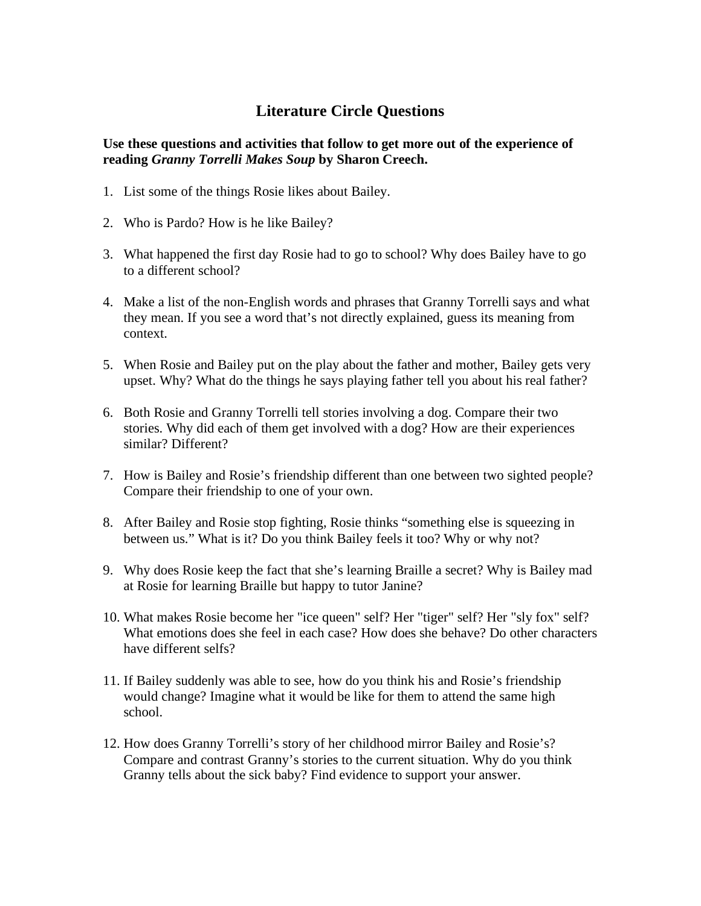## **Literature Circle Questions**

## **Use these questions and activities that follow to get more out of the experience of reading** *Granny Torrelli Makes Soup* **by Sharon Creech.**

- 1. List some of the things Rosie likes about Bailey.
- 2. Who is Pardo? How is he like Bailey?
- 3. What happened the first day Rosie had to go to school? Why does Bailey have to go to a different school?
- 4. Make a list of the non-English words and phrases that Granny Torrelli says and what they mean. If you see a word that's not directly explained, guess its meaning from context.
- 5. When Rosie and Bailey put on the play about the father and mother, Bailey gets very upset. Why? What do the things he says playing father tell you about his real father?
- 6. Both Rosie and Granny Torrelli tell stories involving a dog. Compare their two stories. Why did each of them get involved with a dog? How are their experiences similar? Different?
- 7. How is Bailey and Rosie's friendship different than one between two sighted people? Compare their friendship to one of your own.
- 8. After Bailey and Rosie stop fighting, Rosie thinks "something else is squeezing in between us." What is it? Do you think Bailey feels it too? Why or why not?
- 9. Why does Rosie keep the fact that she's learning Braille a secret? Why is Bailey mad at Rosie for learning Braille but happy to tutor Janine?
- 10. What makes Rosie become her "ice queen" self? Her "tiger" self? Her "sly fox" self? What emotions does she feel in each case? How does she behave? Do other characters have different selfs?
- 11. If Bailey suddenly was able to see, how do you think his and Rosie's friendship would change? Imagine what it would be like for them to attend the same high school.
- 12. How does Granny Torrelli's story of her childhood mirror Bailey and Rosie's? Compare and contrast Granny's stories to the current situation. Why do you think Granny tells about the sick baby? Find evidence to support your answer.